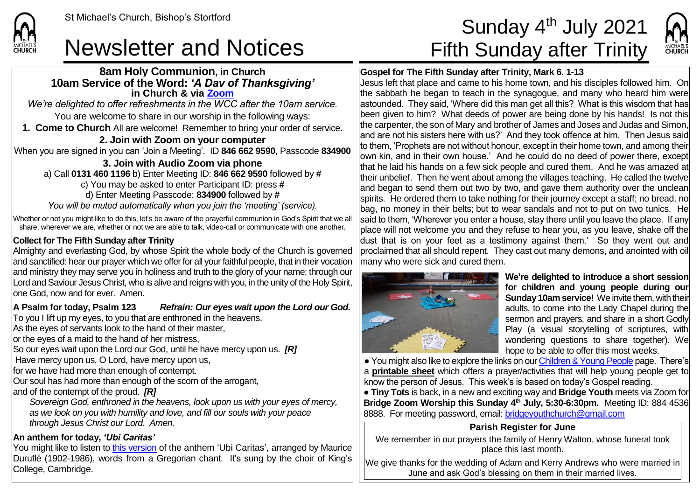## Newsletter and Notices Fifth Sunday after Trinity

#### **8am Holy Communion, in Church 10am Service of the Word:** *'A Day of Thanksgiving'* **in Church & via [Zoom](https://zoom.us/)**

*We're delighted to offer refreshments in the WCC after the 10am service.* You are welcome to share in our worship in the following ways: **1. Come to Church** All are welcome! Remember to bring your order of service.

#### **2. Join with Zoom on your computer**

When you are signed in you can 'Join a Meeting'. ID **846 662 9590**, Passcode **834900**

#### **3. Join with Audio Zoom via phone**

a) Call **0131 460 1196** b) Enter Meeting ID: **846 662 9590** followed by **#** c) You may be asked to enter Participant ID: press **#** d) Enter Meeting Passcode: **834900** followed by **#**

*You will be muted automatically when you join the 'meeting' (service).*

Whether or not you might like to do this, let's be aware of the prayerful communion in God's Spirit that we all share, wherever we are, whether or not we are able to talk, video-call or communicate with one another.

#### **Collect for The Fifth Sunday after Trinity**

Almighty and everlasting God, by whose Spirit the whole body of the Church is governed and sanctified: hear our prayer which we offer for all your faithful people, that in their vocation and ministry they may serve you in holiness and truth to the glory of your name; through our Lord and Saviour Jesus Christ, who is alive and reigns with you, in the unity of the Holy Spirit, one God, now and for ever. Amen.

#### **A Psalm for today, Psalm 123** *Refrain: Our eyes wait upon the Lord our God.*

To you I lift up my eyes, to you that are enthroned in the heavens.

As the eyes of servants look to the hand of their master,

or the eyes of a maid to the hand of her mistress,

So our eyes wait upon the Lord our God, until he have mercy upon us. *[R]*

Have mercy upon us, O Lord, have mercy upon us,

for we have had more than enough of contempt.

Our soul has had more than enough of the scorn of the arrogant,

and of the contempt of the proud. *[R]*

*Sovereign God, enthroned in the heavens, look upon us with your eyes of mercy, as we look on you with humility and love, and fill our souls with your peace through Jesus Christ our Lord. Amen.*

### **An anthem for today,** *'Ubi Caritas'*

You might like to listen to [this version](https://www.youtube.com/watch?v=2-LQve92U1o) of the anthem 'Ubi Caritas', arranged by Maurice Duruflé (1902-1986), words from a Gregorian chant. It's sung by the choir of King's College, Cambridge.

# St Michael's Church, Bishop's Stortford  $\textsf{Sunday}\ 4^{\textup{th}}$  July 2021



#### **Gospel for The Fifth Sunday after Trinity, Mark 6. 1-13**

Jesus left that place and came to his home town, and his disciples followed him. On the sabbath he began to teach in the synagogue, and many who heard him were astounded. They said, 'Where did this man get all this? What is this wisdom that has been given to him? What deeds of power are being done by his hands! Is not this the carpenter, the son of Mary and brother of James and Joses and Judas and Simon, and are not his sisters here with us?' And they took offence at him. Then Jesus said to them, 'Prophets are not without honour, except in their home town, and among their own kin, and in their own house.' And he could do no deed of power there, except that he laid his hands on a few sick people and cured them. And he was amazed at their unbelief. Then he went about among the villages teaching. He called the twelve and began to send them out two by two, and gave them authority over the unclean spirits. He ordered them to take nothing for their journey except a staff; no bread, no bag, no money in their belts; but to wear sandals and not to put on two tunics. He said to them, 'Wherever you enter a house, stay there until you leave the place. If any place will not welcome you and they refuse to hear you, as you leave, shake off the dust that is on your feet as a testimony against them.' So they went out and proclaimed that all should repent. They cast out many demons, and anointed with oil many who were sick and cured them.



**We're delighted to introduce a short session for children and young people during our Sunday 10am service!** We invite them, with their adults, to come into the Lady Chapel during the sermon and prayers, and share in a short Godly Play (a visual storytelling of scriptures, with wondering questions to share together). We hope to be able to offer this most weeks.

● You might also like to explore the links on ou[r Children & Young People](https://saintmichaelweb.org.uk/Groups/310496/Children_and_Young.aspx) page. There's a **[printable](https://saintmichaelweb.org.uk/Groups/310496/Children_and_Young.aspx) sheet** which offers a prayer/activities that will help young people get to know the person of Jesus. This week's is based on today's Gospel reading.

● **Tiny Tots** is back, in a new and exciting way and **Bridge Youth** meets via Zoom for **Bridge Zoom Worship this Sunday 4 th July, 5:30-6:30pm.** Meeting ID: 884 4536 8888. For meeting password, email: [bridgeyouthchurch@gmail.com](mailto:bridgeyouthchurch@gmail.com)

#### **Parish Register for June**

We remember in our prayers the family of Henry Walton, whose funeral took place this last month.

We give thanks for the wedding of Adam and Kerry Andrews who were married in June and ask God's blessing on them in their married lives.